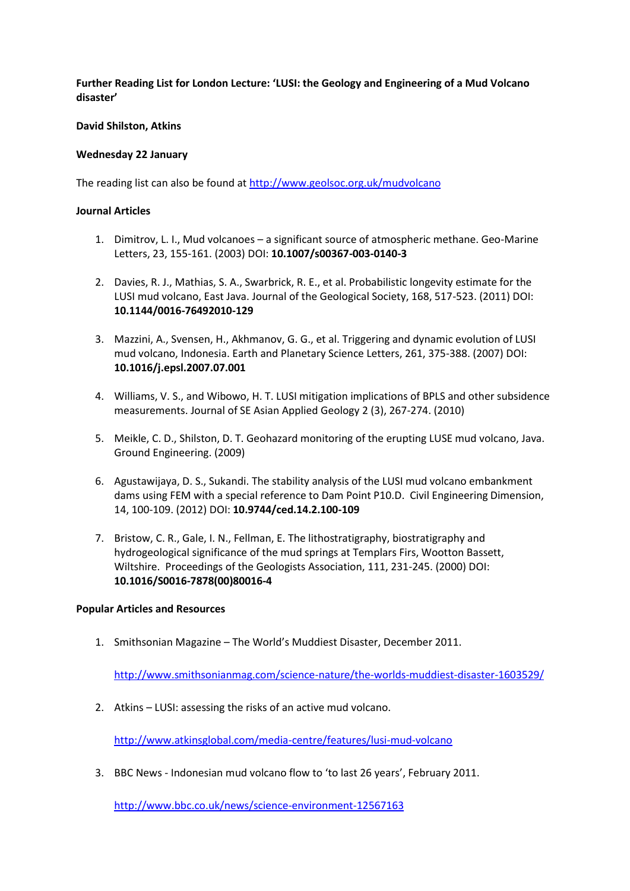**Further Reading List for London Lecture: 'LUSI: the Geology and Engineering of a Mud Volcano disaster'**

## **David Shilston, Atkins**

## **Wednesday 22 January**

The reading list can also be found a[t http://www.geolsoc.org.uk/mudvolcano](http://www.geolsoc.org.uk/mudvolcano)

## **Journal Articles**

- 1. Dimitrov, L. I., Mud volcanoes a significant source of atmospheric methane. Geo-Marine Letters, 23, 155-161. (2003) DOI: **10.1007/s00367-003-0140-3**
- 2. Davies, R. J., Mathias, S. A., Swarbrick, R. E., et al. Probabilistic longevity estimate for the LUSI mud volcano, East Java. Journal of the Geological Society, 168, 517-523. (2011) DOI: **10.1144/0016-76492010-129**
- 3. Mazzini, A., Svensen, H., Akhmanov, G. G., et al. Triggering and dynamic evolution of LUSI mud volcano, Indonesia. Earth and Planetary Science Letters, 261, 375-388. (2007) DOI: **10.1016/j.epsl.2007.07.001**
- 4. Williams, V. S., and Wibowo, H. T. LUSI mitigation implications of BPLS and other subsidence measurements. Journal of SE Asian Applied Geology 2 (3), 267-274. (2010)
- 5. Meikle, C. D., Shilston, D. T. Geohazard monitoring of the erupting LUSE mud volcano, Java. Ground Engineering. (2009)
- 6. Agustawijaya, D. S., Sukandi. The stability analysis of the LUSI mud volcano embankment dams using FEM with a special reference to Dam Point P10.D. Civil Engineering Dimension, 14, 100-109. (2012) DOI: **[10.9744/ced.14.2.100-109](http://dx.doi.org/10.9744/ced.14.2.100-109)**
- 7. Bristow, C. R., Gale, I. N., Fellman, E. The lithostratigraphy, biostratigraphy and hydrogeological significance of the mud springs at Templars Firs, Wootton Bassett, Wiltshire. Proceedings of the Geologists Association, 111, 231-245. (2000) DOI: **[10.1016/S0016-7878\(00\)80016-4](http://dx.doi.org/10.1016/S0016-7878(00)80016-4)**

## **Popular Articles and Resources**

1. Smithsonian Magazine – The World's Muddiest Disaster, December 2011.

<http://www.smithsonianmag.com/science-nature/the-worlds-muddiest-disaster-1603529/>

2. Atkins – LUSI: assessing the risks of an active mud volcano.

<http://www.atkinsglobal.com/media-centre/features/lusi-mud-volcano>

3. BBC News - Indonesian mud volcano flow to 'to last 26 years', February 2011.

<http://www.bbc.co.uk/news/science-environment-12567163>